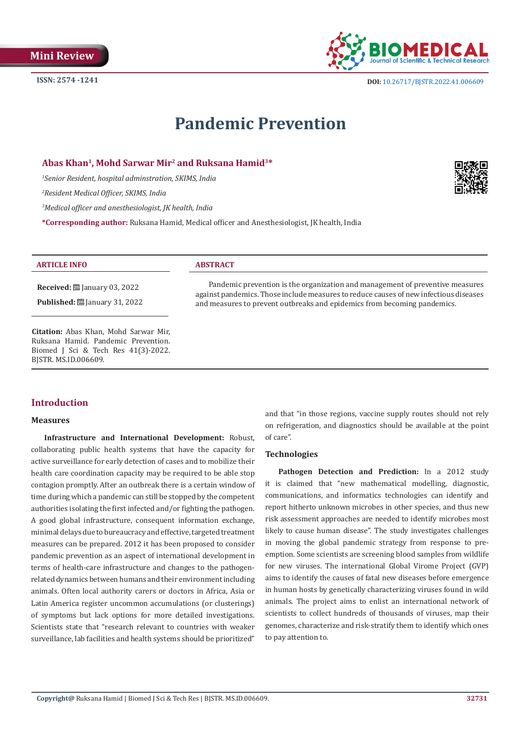

# **Pandemic Prevention**

### **Abas Khan1, Mohd Sarwar Mir2 and Ruksana Hamid3\***

*1 Senior Resident, hospital adminstration, SKIMS, India*

*2 Resident Medical Officer, SKIMS, India*

*3 Medical officer and anesthesiologist, JK health, India*

**\*Corresponding author:** Ruksana Hamid, Medical officer and Anesthesiologist, JK health, India



### **ARTICLE INFO ABSTRACT**

**Received:** ■ January 03, 2022 **Published:** ■ January 31, 2022

**Citation:** Abas Khan, Mohd Sarwar Mir, Ruksana Hamid. Pandemic Prevention. Biomed J Sci & Tech Res 41(3)-2022.

Pandemic prevention is the organization and management of preventive measures against pandemics. Those include measures to reduce causes of new infectious diseases and measures to prevent outbreaks and epidemics from becoming pandemics.

BJSTR. MS.ID.006609.

## **Introduction**

#### **Measures**

**Infrastructure and International Development:** Robust, collaborating public health systems that have the capacity for active surveillance for early detection of cases and to mobilize their health care coordination capacity may be required to be able stop contagion promptly. After an outbreak there is a certain window of time during which a pandemic can still be stopped by the competent authorities isolating the first infected and/or fighting the pathogen. A good global infrastructure, consequent information exchange, minimal delays due to bureaucracy and effective, targeted treatment measures can be prepared. 2012 it has been proposed to consider pandemic prevention as an aspect of international development in terms of health-care infrastructure and changes to the pathogenrelated dynamics between humans and their environment including animals. Often local authority carers or doctors in Africa, Asia or Latin America register uncommon accumulations (or clusterings) of symptoms but lack options for more detailed investigations. Scientists state that "research relevant to countries with weaker surveillance, lab facilities and health systems should be prioritized"

and that "in those regions, vaccine supply routes should not rely on refrigeration, and diagnostics should be available at the point of care".

#### **Technologies**

Pathogen Detection and Prediction: In a 2012 study it is claimed that "new mathematical modelling, diagnostic, communications, and informatics technologies can identify and report hitherto unknown microbes in other species, and thus new risk assessment approaches are needed to identify microbes most likely to cause human disease". The study investigates challenges in moving the global pandemic strategy from response to preemption. Some scientists are screening blood samples from wildlife for new viruses. The international Global Virome Project (GVP) aims to identify the causes of fatal new diseases before emergence in human hosts by genetically characterizing viruses found in wild animals. The project aims to enlist an international network of scientists to collect hundreds of thousands of viruses, map their genomes, characterize and risk-stratify them to identify which ones to pay attention to.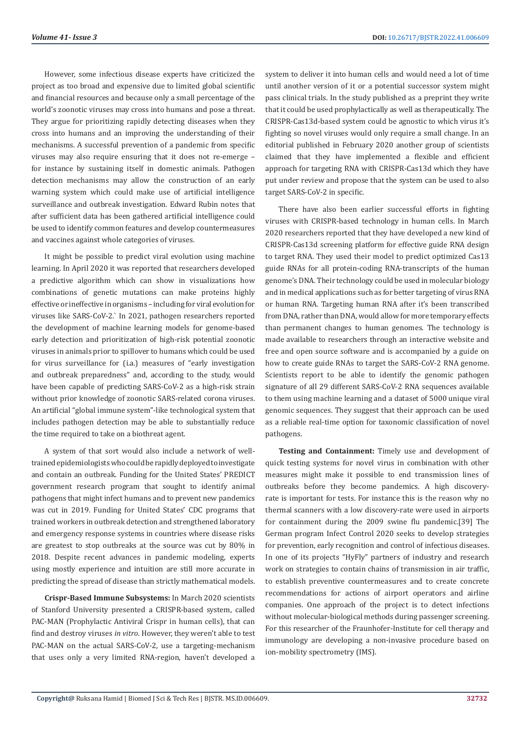However, some infectious disease experts have criticized the project as too broad and expensive due to limited global scientific and financial resources and because only a small percentage of the world's zoonotic viruses may cross into humans and pose a threat. They argue for prioritizing rapidly detecting diseases when they cross into humans and an improving the understanding of their mechanisms. A successful prevention of a pandemic from specific viruses may also require ensuring that it does not re-emerge – for instance by sustaining itself in domestic animals. Pathogen detection mechanisms may allow the construction of an early warning system which could make use of artificial intelligence surveillance and outbreak investigation. Edward Rubin notes that after sufficient data has been gathered artificial intelligence could be used to identify common features and develop countermeasures and vaccines against whole categories of viruses.

It might be possible to predict viral evolution using machine learning. In April 2020 it was reported that researchers developed a predictive algorithm which can show in visualizations how combinations of genetic mutations can make proteins highly effective or ineffective in organisms – including for viral evolution for viruses like SARS-CoV-2.` In 2021, pathogen researchers reported the development of machine learning models for genome-based early detection and prioritization of high-risk potential zoonotic viruses in animals prior to spillover to humans which could be used for virus surveillance for (i.a.) measures of "early investigation and outbreak preparedness" and, according to the study, would have been capable of predicting SARS-CoV-2 as a high-risk strain without prior knowledge of zoonotic SARS-related corona viruses. An artificial "global immune system"-like technological system that includes pathogen detection may be able to substantially reduce the time required to take on a biothreat agent.

A system of that sort would also include a network of welltrained epidemiologists who could be rapidly deployed to investigate and contain an outbreak. Funding for the United States' PREDICT government research program that sought to identify animal pathogens that might infect humans and to prevent new pandemics was cut in 2019. Funding for United States' CDC programs that trained workers in outbreak detection and strengthened laboratory and emergency response systems in countries where disease risks are greatest to stop outbreaks at the source was cut by 80% in 2018. Despite recent advances in pandemic modeling, experts using mostly experience and intuition are still more accurate in predicting the spread of disease than strictly mathematical models.

**Crispr-Based Immune Subsystems:** In March 2020 scientists of Stanford University presented a CRISPR-based system, called PAC-MAN (Prophylactic Antiviral Crispr in human cells), that can find and destroy viruses *in vitro*. However, they weren't able to test PAC-MAN on the actual SARS-CoV-2, use a targeting-mechanism that uses only a very limited RNA-region, haven't developed a

system to deliver it into human cells and would need a lot of time until another version of it or a potential successor system might pass clinical trials. In the study published as a preprint they write that it could be used prophylactically as well as therapeutically. The CRISPR-Cas13d-based system could be agnostic to which virus it's fighting so novel viruses would only require a small change. In an editorial published in February 2020 another group of scientists claimed that they have implemented a flexible and efficient approach for targeting RNA with CRISPR-Cas13d which they have put under review and propose that the system can be used to also target SARS-CoV-2 in specific.

There have also been earlier successful efforts in fighting viruses with CRISPR-based technology in human cells. In March 2020 researchers reported that they have developed a new kind of CRISPR-Cas13d screening platform for effective guide RNA design to target RNA. They used their model to predict optimized Cas13 guide RNAs for all protein-coding RNA-transcripts of the human genome's DNA. Their technology could be used in molecular biology and in medical applications such as for better targeting of virus RNA or human RNA. Targeting human RNA after it's been transcribed from DNA, rather than DNA, would allow for more temporary effects than permanent changes to human genomes. The technology is made available to researchers through an interactive website and free and open source software and is accompanied by a guide on how to create guide RNAs to target the SARS-CoV-2 RNA genome. Scientists report to be able to identify the genomic pathogen signature of all 29 different SARS-CoV-2 RNA sequences available to them using machine learning and a dataset of 5000 unique viral genomic sequences. They suggest that their approach can be used as a reliable real-time option for taxonomic classification of novel pathogens.

**Testing and Containment:** Timely use and development of quick testing systems for novel virus in combination with other measures might make it possible to end transmission lines of outbreaks before they become pandemics. A high discoveryrate is important for tests. For instance this is the reason why no thermal scanners with a low discovery-rate were used in airports for containment during the 2009 swine flu pandemic.[39] The German program Infect Control 2020 seeks to develop strategies for prevention, early recognition and control of infectious diseases. In one of its projects "HyFly" partners of industry and research work on strategies to contain chains of transmission in air traffic, to establish preventive countermeasures and to create concrete recommendations for actions of airport operators and airline companies. One approach of the project is to detect infections without molecular-biological methods during passenger screening. For this researcher of the Fraunhofer-Institute for cell therapy and immunology are developing a non-invasive procedure based on ion-mobility spectrometry (IMS).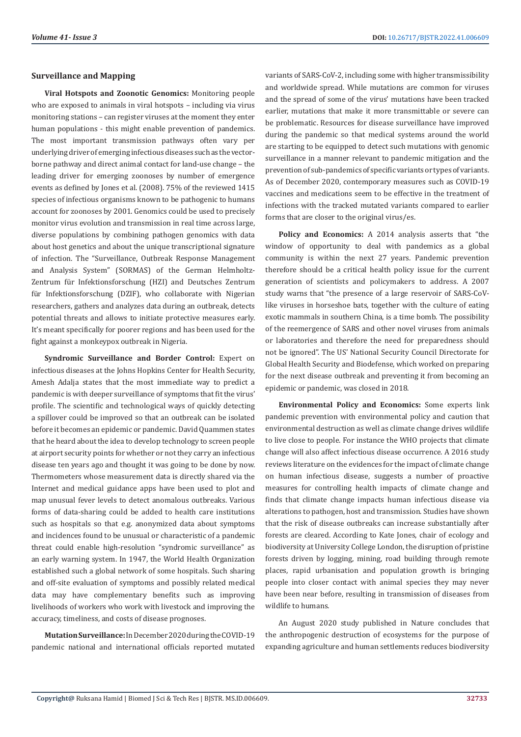#### **Surveillance and Mapping**

**Viral Hotspots and Zoonotic Genomics:** Monitoring people who are exposed to animals in viral hotspots – including via virus monitoring stations – can register viruses at the moment they enter human populations - this might enable prevention of pandemics. The most important transmission pathways often vary per underlying driver of emerging infectious diseases such as the vectorborne pathway and direct animal contact for land-use change – the leading driver for emerging zoonoses by number of emergence events as defined by Jones et al. (2008). 75% of the reviewed 1415 species of infectious organisms known to be pathogenic to humans account for zoonoses by 2001. Genomics could be used to precisely monitor virus evolution and transmission in real time across large, diverse populations by combining pathogen genomics with data about host genetics and about the unique transcriptional signature of infection. The "Surveillance, Outbreak Response Management and Analysis System" (SORMAS) of the German Helmholtz-Zentrum für Infektionsforschung (HZI) and Deutsches Zentrum für Infektionsforschung (DZIF), who collaborate with Nigerian researchers, gathers and analyzes data during an outbreak, detects potential threats and allows to initiate protective measures early. It's meant specifically for poorer regions and has been used for the fight against a monkeypox outbreak in Nigeria.

**Syndromic Surveillance and Border Control:** Expert on infectious diseases at the Johns Hopkins Center for Health Security, Amesh Adalja states that the most immediate way to predict a pandemic is with deeper surveillance of symptoms that fit the virus' profile. The scientific and technological ways of quickly detecting a spillover could be improved so that an outbreak can be isolated before it becomes an epidemic or pandemic. David Quammen states that he heard about the idea to develop technology to screen people at airport security points for whether or not they carry an infectious disease ten years ago and thought it was going to be done by now. Thermometers whose measurement data is directly shared via the Internet and medical guidance apps have been used to plot and map unusual fever levels to detect anomalous outbreaks. Various forms of data-sharing could be added to health care institutions such as hospitals so that e.g. anonymized data about symptoms and incidences found to be unusual or characteristic of a pandemic threat could enable high-resolution "syndromic surveillance" as an early warning system. In 1947, the World Health Organization established such a global network of some hospitals. Such sharing and off-site evaluation of symptoms and possibly related medical data may have complementary benefits such as improving livelihoods of workers who work with livestock and improving the accuracy, timeliness, and costs of disease prognoses.

**Mutation Surveillance:** In December 2020 during the COVID-19 pandemic national and international officials reported mutated

variants of SARS-CoV-2, including some with higher transmissibility and worldwide spread. While mutations are common for viruses and the spread of some of the virus' mutations have been tracked earlier, mutations that make it more transmittable or severe can be problematic. Resources for disease surveillance have improved during the pandemic so that medical systems around the world are starting to be equipped to detect such mutations with genomic surveillance in a manner relevant to pandemic mitigation and the prevention of sub-pandemics of specific variants or types of variants. As of December 2020, contemporary measures such as COVID-19 vaccines and medications seem to be effective in the treatment of infections with the tracked mutated variants compared to earlier forms that are closer to the original virus/es.

**Policy and Economics:** A 2014 analysis asserts that "the window of opportunity to deal with pandemics as a global community is within the next 27 years. Pandemic prevention therefore should be a critical health policy issue for the current generation of scientists and policymakers to address. A 2007 study warns that "the presence of a large reservoir of SARS-CoVlike viruses in horseshoe bats, together with the culture of eating exotic mammals in southern China, is a time bomb. The possibility of the reemergence of SARS and other novel viruses from animals or laboratories and therefore the need for preparedness should not be ignored". The US' National Security Council Directorate for Global Health Security and Biodefense, which worked on preparing for the next disease outbreak and preventing it from becoming an epidemic or pandemic, was closed in 2018.

**Environmental Policy and Economics:** Some experts link pandemic prevention with environmental policy and caution that environmental destruction as well as climate change drives wildlife to live close to people. For instance the WHO projects that climate change will also affect infectious disease occurrence. A 2016 study reviews literature on the evidences for the impact of climate change on human infectious disease, suggests a number of proactive measures for controlling health impacts of climate change and finds that climate change impacts human infectious disease via alterations to pathogen, host and transmission. Studies have shown that the risk of disease outbreaks can increase substantially after forests are cleared. According to Kate Jones, chair of ecology and biodiversity at University College London, the disruption of pristine forests driven by logging, mining, road building through remote places, rapid urbanisation and population growth is bringing people into closer contact with animal species they may never have been near before, resulting in transmission of diseases from wildlife to humans.

An August 2020 study published in Nature concludes that the anthropogenic destruction of ecosystems for the purpose of expanding agriculture and human settlements reduces biodiversity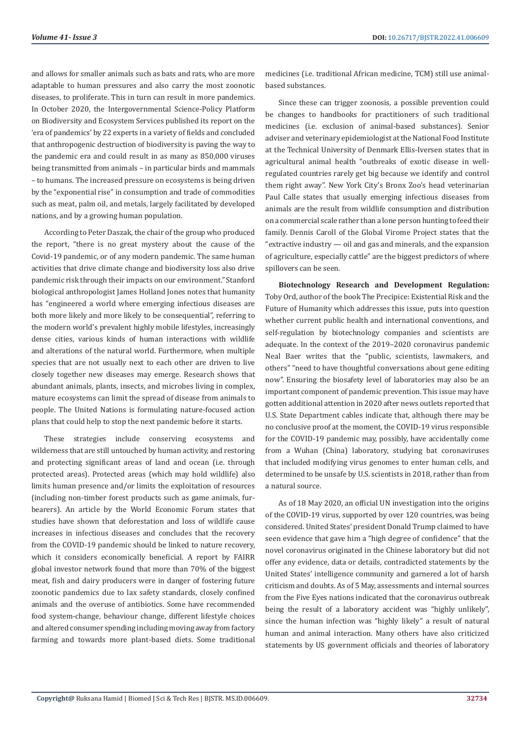and allows for smaller animals such as bats and rats, who are more adaptable to human pressures and also carry the most zoonotic diseases, to proliferate. This in turn can result in more pandemics. In October 2020, the Intergovernmental Science-Policy Platform on Biodiversity and Ecosystem Services published its report on the 'era of pandemics' by 22 experts in a variety of fields and concluded that anthropogenic destruction of biodiversity is paving the way to the pandemic era and could result in as many as 850,000 viruses being transmitted from animals – in particular birds and mammals – to humans. The increased pressure on ecosystems is being driven by the "exponential rise" in consumption and trade of commodities such as meat, palm oil, and metals, largely facilitated by developed nations, and by a growing human population.

According to Peter Daszak, the chair of the group who produced the report, "there is no great mystery about the cause of the Covid-19 pandemic, or of any modern pandemic. The same human activities that drive climate change and biodiversity loss also drive pandemic risk through their impacts on our environment." Stanford biological anthropologist James Holland Jones notes that humanity has "engineered a world where emerging infectious diseases are both more likely and more likely to be consequential", referring to the modern world's prevalent highly mobile lifestyles, increasingly dense cities, various kinds of human interactions with wildlife and alterations of the natural world. Furthermore, when multiple species that are not usually next to each other are driven to live closely together new diseases may emerge. Research shows that abundant animals, plants, insects, and microbes living in complex, mature ecosystems can limit the spread of disease from animals to people. The United Nations is formulating nature-focused action plans that could help to stop the next pandemic before it starts.

These strategies include conserving ecosystems and wilderness that are still untouched by human activity, and restoring and protecting significant areas of land and ocean (i.e. through protected areas). Protected areas (which may hold wildlife) also limits human presence and/or limits the exploitation of resources (including non-timber forest products such as game animals, furbearers). An article by the World Economic Forum states that studies have shown that deforestation and loss of wildlife cause increases in infectious diseases and concludes that the recovery from the COVID-19 pandemic should be linked to nature recovery, which it considers economically beneficial. A report by FAIRR global investor network found that more than 70% of the biggest meat, fish and dairy producers were in danger of fostering future zoonotic pandemics due to lax safety standards, closely confined animals and the overuse of antibiotics. Some have recommended food system-change, behaviour change, different lifestyle choices and altered consumer spending including moving away from factory farming and towards more plant-based diets. Some traditional

medicines (i.e. traditional African medicine, TCM) still use animalbased substances.

Since these can trigger zoonosis, a possible prevention could be changes to handbooks for practitioners of such traditional medicines (i.e. exclusion of animal-based substances). Senior adviser and veterinary epidemiologist at the National Food Institute at the Technical University of Denmark Ellis-Iversen states that in agricultural animal health "outbreaks of exotic disease in wellregulated countries rarely get big because we identify and control them right away". New York City's Bronx Zoo's head veterinarian Paul Calle states that usually emerging infectious diseases from animals are the result from wildlife consumption and distribution on a commercial scale rather than a lone person hunting to feed their family. Dennis Caroll of the Global Virome Project states that the "extractive industry — oil and gas and minerals, and the expansion of agriculture, especially cattle" are the biggest predictors of where spillovers can be seen.

**Biotechnology Research and Development Regulation:**  Toby Ord, author of the book The Precipice: Existential Risk and the Future of Humanity which addresses this issue, puts into question whether current public health and international conventions, and self-regulation by biotechnology companies and scientists are adequate. In the context of the 2019–2020 coronavirus pandemic Neal Baer writes that the "public, scientists, lawmakers, and others" "need to have thoughtful conversations about gene editing now". Ensuring the biosafety level of laboratories may also be an important component of pandemic prevention. This issue may have gotten additional attention in 2020 after news outlets reported that U.S. State Department cables indicate that, although there may be no conclusive proof at the moment, the COVID-19 virus responsible for the COVID-19 pandemic may, possibly, have accidentally come from a Wuhan (China) laboratory, studying bat coronaviruses that included modifying virus genomes to enter human cells, and determined to be unsafe by U.S. scientists in 2018, rather than from a natural source.

As of 18 May 2020, an official UN investigation into the origins of the COVID-19 virus, supported by over 120 countries, was being considered. United States' president Donald Trump claimed to have seen evidence that gave him a "high degree of confidence" that the novel coronavirus originated in the Chinese laboratory but did not offer any evidence, data or details, contradicted statements by the United States' intelligence community and garnered a lot of harsh criticism and doubts. As of 5 May, assessments and internal sources from the Five Eyes nations indicated that the coronavirus outbreak being the result of a laboratory accident was "highly unlikely", since the human infection was "highly likely" a result of natural human and animal interaction. Many others have also criticized statements by US government officials and theories of laboratory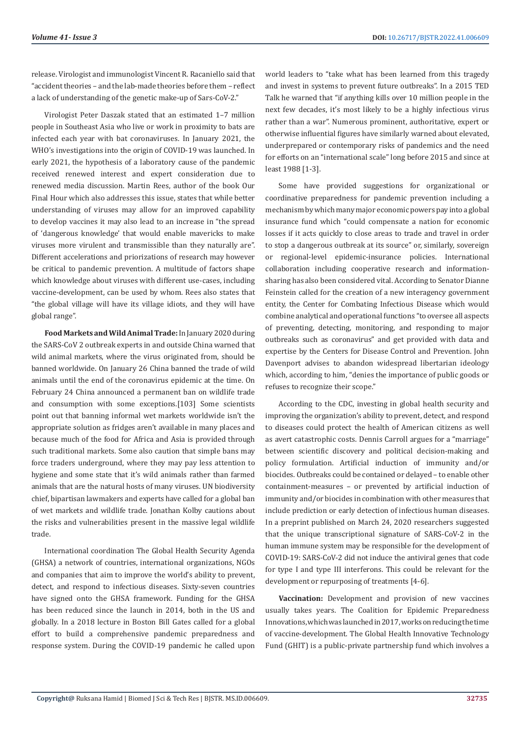release. Virologist and immunologist Vincent R. Racaniello said that "accident theories – and the lab-made theories before them – reflect a lack of understanding of the genetic make-up of Sars-CoV-2."

Virologist Peter Daszak stated that an estimated 1–7 million people in Southeast Asia who live or work in proximity to bats are infected each year with bat coronaviruses. In January 2021, the WHO's investigations into the origin of COVID-19 was launched. In early 2021, the hypothesis of a laboratory cause of the pandemic received renewed interest and expert consideration due to renewed media discussion. Martin Rees, author of the book Our Final Hour which also addresses this issue, states that while better understanding of viruses may allow for an improved capability to develop vaccines it may also lead to an increase in "the spread of 'dangerous knowledge' that would enable mavericks to make viruses more virulent and transmissible than they naturally are". Different accelerations and priorizations of research may however be critical to pandemic prevention. A multitude of factors shape which knowledge about viruses with different use-cases, including vaccine-development, can be used by whom. Rees also states that "the global village will have its village idiots, and they will have global range".

**Food Markets and Wild Animal Trade:** In January 2020 during the SARS-CoV 2 outbreak experts in and outside China warned that wild animal markets, where the virus originated from, should be banned worldwide. On January 26 China banned the trade of wild animals until the end of the coronavirus epidemic at the time. On February 24 China announced a permanent ban on wildlife trade and consumption with some exceptions.[103] Some scientists point out that banning informal wet markets worldwide isn't the appropriate solution as fridges aren't available in many places and because much of the food for Africa and Asia is provided through such traditional markets. Some also caution that simple bans may force traders underground, where they may pay less attention to hygiene and some state that it's wild animals rather than farmed animals that are the natural hosts of many viruses. UN biodiversity chief, bipartisan lawmakers and experts have called for a global ban of wet markets and wildlife trade. Jonathan Kolby cautions about the risks and vulnerabilities present in the massive legal wildlife trade.

International coordination The Global Health Security Agenda (GHSA) a network of countries, international organizations, NGOs and companies that aim to improve the world's ability to prevent, detect, and respond to infectious diseases. Sixty-seven countries have signed onto the GHSA framework. Funding for the GHSA has been reduced since the launch in 2014, both in the US and globally. In a 2018 lecture in Boston Bill Gates called for a global effort to build a comprehensive pandemic preparedness and response system. During the COVID-19 pandemic he called upon

world leaders to "take what has been learned from this tragedy and invest in systems to prevent future outbreaks". In a 2015 TED Talk he warned that "if anything kills over 10 million people in the next few decades, it's most likely to be a highly infectious virus rather than a war". Numerous prominent, authoritative, expert or otherwise influential figures have similarly warned about elevated, underprepared or contemporary risks of pandemics and the need for efforts on an "international scale" long before 2015 and since at least 1988 [1-3].

Some have provided suggestions for organizational or coordinative preparedness for pandemic prevention including a mechanism by which many major economic powers pay into a global insurance fund which "could compensate a nation for economic losses if it acts quickly to close areas to trade and travel in order to stop a dangerous outbreak at its source" or, similarly, sovereign or regional-level epidemic-insurance policies. International collaboration including cooperative research and informationsharing has also been considered vital. According to Senator Dianne Feinstein called for the creation of a new interagency government entity, the Center for Combating Infectious Disease which would combine analytical and operational functions "to oversee all aspects of preventing, detecting, monitoring, and responding to major outbreaks such as coronavirus" and get provided with data and expertise by the Centers for Disease Control and Prevention. John Davenport advises to abandon widespread libertarian ideology which, according to him, "denies the importance of public goods or refuses to recognize their scope."

According to the CDC, investing in global health security and improving the organization's ability to prevent, detect, and respond to diseases could protect the health of American citizens as well as avert catastrophic costs. Dennis Carroll argues for a "marriage" between scientific discovery and political decision-making and policy formulation. Artificial induction of immunity and/or biocides. Outbreaks could be contained or delayed – to enable other containment-measures – or prevented by artificial induction of immunity and/or biocides in combination with other measures that include prediction or early detection of infectious human diseases. In a preprint published on March 24, 2020 researchers suggested that the unique transcriptional signature of SARS-CoV-2 in the human immune system may be responsible for the development of COVID-19: SARS-CoV-2 did not induce the antiviral genes that code for type I and type III interferons. This could be relevant for the development or repurposing of treatments [4-6].

**Vaccination:** Development and provision of new vaccines usually takes years. The Coalition for Epidemic Preparedness Innovations, which was launched in 2017, works on reducing the time of vaccine-development. The Global Health Innovative Technology Fund (GHIT) is a public-private partnership fund which involves a